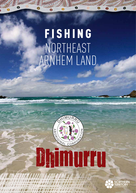# F I S H I N G northeast Arnhem Land





т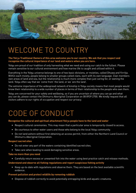

# WELCOME TO COUNTRY

### **The Yol**\**u Traditional Owners of this area welcome you to our country. We ask that you respect and recognise the cultural importance of our land and waters when you are here.**

Yolnu are proud of our tradition of only harvesting what we need and using our catch to the fullest. Please remain sensitive to our cultural environment and how marine life is caught and utilised within it.

Everything in the Yolnu universe belongs to one of two basic divisions, or moieties, called Dhuwa and Yirritja. Within each moiety, people belong to smaller groups called clans, each with its own language. Clan members own areas of land and sea, but the relationship is much more complex than just caring for, or owning the land. Yolnu often say that we 'come from' the land, or we 'are the land'.

The extreme importance of the widespread network of kinship in Yolnu society means that most people would know their relationship to a wide number of places in terms of their relationship to the people who own them.

Yolnu are concerned for your safety and wellbeing, so if you are uncertain of where you can go and what you can do, please contact the Dhimurru Aboriginal Corporation on 08 8939 2700. We kindly request that all visitors adhere to our rights of occupation and respect our privacy.

# CODE OF CONDUCT

### **Recognise the cultural and spiritual attachment Yol**\**u people have to the land and water**

- Respect cultural ceremonies. This may mean that a particular area is temporarily closed to access.
- Be courteous to other water users and those who belong to the local Yolnu community.
- Do not land ashore without first obtaining an access permit, from either the Northern Land Council or Dhimurru Aboriginal Corporation.

### **Respect sacred sites**

- Do not enter any part of the waters containing identified sacred sites.
- Take care when boating to avoid damaging sensitive areas.

### **Take no more than you need**

• Carefully return excess or unwanted fish into the water using best practice catch and release methods.

### **Understand and observe all fishing regulations and report suspicious fishing activity**

• Keep up-to-date with regulations and observe them. They are based on the best available scientific evidence.

### **Prevent pollution and protect wildlife by removing rubbish**

• Dispose of rubbish correctly to avoid potentially entrapping birds and aquatic creatures.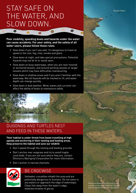Bonner Rocks

# STAY SAFE ON THE WATER, AND SLOW DOWN.

O

**Poor visibility, speeding boats and hazards under the water can cause accidents. For your safety, and the safety of all water users, please follow these rules:**

- Slow down if you can't see well. It's dangerous to travel at speed in the rain, fog, mist, smoke and glare.
- Slow down at night, and take special precautions. Potential hazards may not be lit or easily seen.
- Slow down on busy waterways, when you are near moored or anchored vessels, and around working vessels or larger vessels which may have difficulties manoeuvring.
- Slow down in shallow areas and if you aren't familiar with the waterway. Not all hazards will be marked or lit, and water depth can change quickly.
- Slow down in bad weather. Wind, waves and currents can affect the ability of boats to manoeuvre safely.



### **Their habitat is under threat from boats travelling at high speeds and anchoring in their nesting and feeding areas. Help preserve the habitat and save our wildlife**

- Don't speed through the nesting and feeding grounds.
- Don't anchor over seagrass and try to avoid fragile coral beds. If you are not sure where they are, contact Dhimurru Aboriginal Corporation for more information.
- Don't anchor in narrow channels.



### BE CROCWISE

Saltwater crocodiles inhabit the area and are potentially dangerous to humans. Do not swim in any waters or approach the edge of waterways. Clean fish away from the water's edge. www.becrocwise.nt.gov.au

Please be aware that this map is only a guide and does not depict all hazards and should not be used for navigation.

*<sup>W</sup>ong<sup>a</sup> <sup>C</sup><sup>r</sup>ee<sup>k</sup>*

Gapuru emorial Pa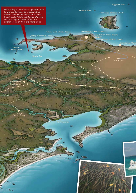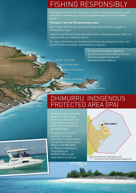# FISHING RESPONSIBLY

Possession limits are the maximum number of fish you may have in your possession, however you should only take enough for your immediate needs.

**Fishing for reef fish? Be barotrauma aware.**

Don't target reef fish for catch and release when fishing in a depth of 10 metres or more.

Keep the reef fish you catch and utilise them, within possession limits, as released fish are unlikely to survive.

For more information on recreational fishing and possession limits, visit the NT Fisheries website: www.fisheries.nt.gov.au

Yarrapay (Rocky Point)

Barinura (Little Bondi) Numuy (Turtle Beach)

Binydjarrna (Daliwuy) Garanhan (Maccassan)

Wanuwuy

### (Cape Arnhem)

For more information regarding

visit www.aapant.org.au and www.environment.gov.au

sacred site and biodiversity protection

# Raŋura

**YIRRKALA**



## DHIMURRU INDIGENOUS Protected Area (IPA)

owned. It is not Crown land, nor public land. You must obtain permission before going ashore onto aboriginal land.

To apply for an access permit or for more information please contact the Northern Land Council (NLC) on 08 8986 8500 or Dhimurru Aboriginal Corporation on 08 8939 2700, or visit www.dhimurru.com.au. The Terrestrial Zone (Aboriginal Land)



Sea Country Zone (Collaborative Management)

ow Cliffs)

Gove Mine